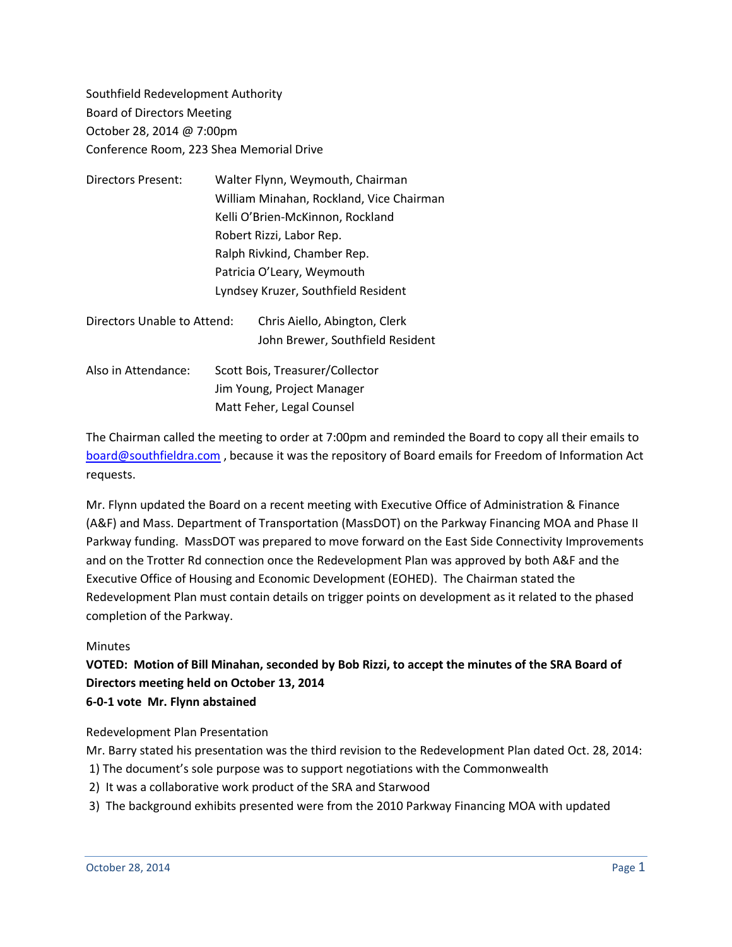Southfield Redevelopment Authority Board of Directors Meeting October 28, 2014 @ 7:00pm Conference Room, 223 Shea Memorial Drive

| Directors Present:          | Walter Flynn, Weymouth, Chairman         |
|-----------------------------|------------------------------------------|
|                             | William Minahan, Rockland, Vice Chairman |
|                             | Kelli O'Brien-McKinnon, Rockland         |
|                             | Robert Rizzi, Labor Rep.                 |
|                             | Ralph Rivkind, Chamber Rep.              |
|                             | Patricia O'Leary, Weymouth               |
|                             | Lyndsey Kruzer, Southfield Resident      |
| Directors Unable to Attend: | Chris Aiello, Abington, Clerk            |
|                             | John Brewer, Southfield Resident         |
| Also in Attendance:         | Scott Bois, Treasurer/Collector          |
|                             | Jim Young, Project Manager               |
|                             | Matt Feher, Legal Counsel                |

The Chairman called the meeting to order at 7:00pm and reminded the Board to copy all their emails to [board@southfieldra.com](mailto:board@southfieldra.com) , because it was the repository of Board emails for Freedom of Information Act requests.

Mr. Flynn updated the Board on a recent meeting with Executive Office of Administration & Finance (A&F) and Mass. Department of Transportation (MassDOT) on the Parkway Financing MOA and Phase II Parkway funding. MassDOT was prepared to move forward on the East Side Connectivity Improvements and on the Trotter Rd connection once the Redevelopment Plan was approved by both A&F and the Executive Office of Housing and Economic Development (EOHED). The Chairman stated the Redevelopment Plan must contain details on trigger points on development as it related to the phased completion of the Parkway.

## Minutes

## **VOTED: Motion of Bill Minahan, seconded by Bob Rizzi, to accept the minutes of the SRA Board of Directors meeting held on October 13, 2014 6-0-1 vote Mr. Flynn abstained**

Redevelopment Plan Presentation

Mr. Barry stated his presentation was the third revision to the Redevelopment Plan dated Oct. 28, 2014:

- 1) The document's sole purpose was to support negotiations with the Commonwealth
- 2) It was a collaborative work product of the SRA and Starwood
- 3) The background exhibits presented were from the 2010 Parkway Financing MOA with updated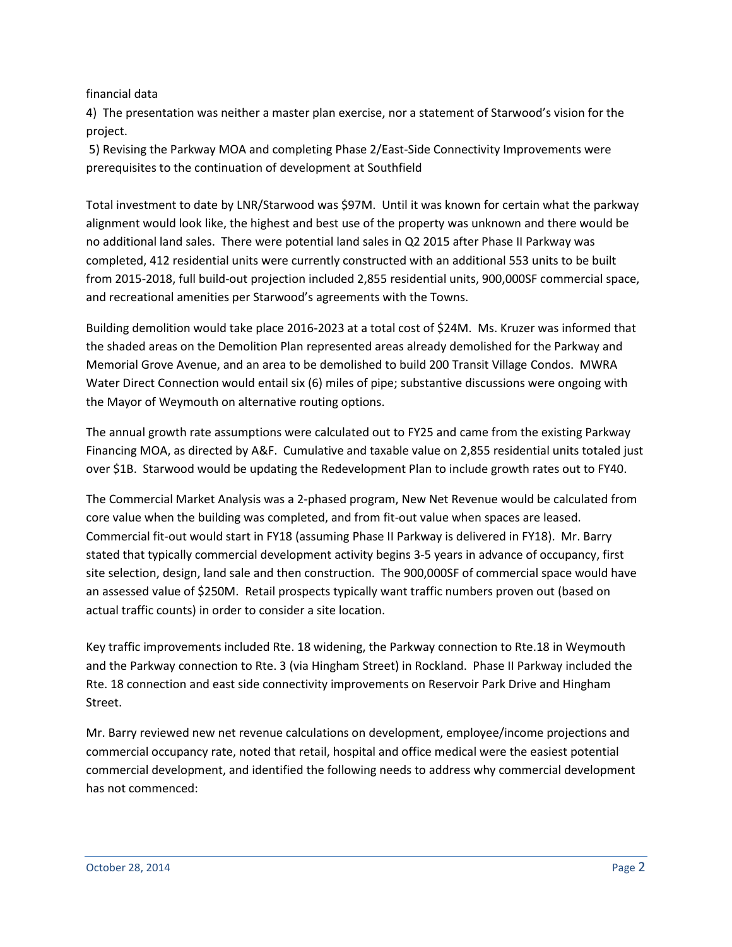financial data

4) The presentation was neither a master plan exercise, nor a statement of Starwood's vision for the project.

5) Revising the Parkway MOA and completing Phase 2/East-Side Connectivity Improvements were prerequisites to the continuation of development at Southfield

Total investment to date by LNR/Starwood was \$97M. Until it was known for certain what the parkway alignment would look like, the highest and best use of the property was unknown and there would be no additional land sales. There were potential land sales in Q2 2015 after Phase II Parkway was completed, 412 residential units were currently constructed with an additional 553 units to be built from 2015-2018, full build-out projection included 2,855 residential units, 900,000SF commercial space, and recreational amenities per Starwood's agreements with the Towns.

Building demolition would take place 2016-2023 at a total cost of \$24M. Ms. Kruzer was informed that the shaded areas on the Demolition Plan represented areas already demolished for the Parkway and Memorial Grove Avenue, and an area to be demolished to build 200 Transit Village Condos. MWRA Water Direct Connection would entail six (6) miles of pipe; substantive discussions were ongoing with the Mayor of Weymouth on alternative routing options.

The annual growth rate assumptions were calculated out to FY25 and came from the existing Parkway Financing MOA, as directed by A&F. Cumulative and taxable value on 2,855 residential units totaled just over \$1B. Starwood would be updating the Redevelopment Plan to include growth rates out to FY40.

The Commercial Market Analysis was a 2-phased program, New Net Revenue would be calculated from core value when the building was completed, and from fit-out value when spaces are leased. Commercial fit-out would start in FY18 (assuming Phase II Parkway is delivered in FY18). Mr. Barry stated that typically commercial development activity begins 3-5 years in advance of occupancy, first site selection, design, land sale and then construction. The 900,000SF of commercial space would have an assessed value of \$250M. Retail prospects typically want traffic numbers proven out (based on actual traffic counts) in order to consider a site location.

Key traffic improvements included Rte. 18 widening, the Parkway connection to Rte.18 in Weymouth and the Parkway connection to Rte. 3 (via Hingham Street) in Rockland. Phase II Parkway included the Rte. 18 connection and east side connectivity improvements on Reservoir Park Drive and Hingham Street.

Mr. Barry reviewed new net revenue calculations on development, employee/income projections and commercial occupancy rate, noted that retail, hospital and office medical were the easiest potential commercial development, and identified the following needs to address why commercial development has not commenced: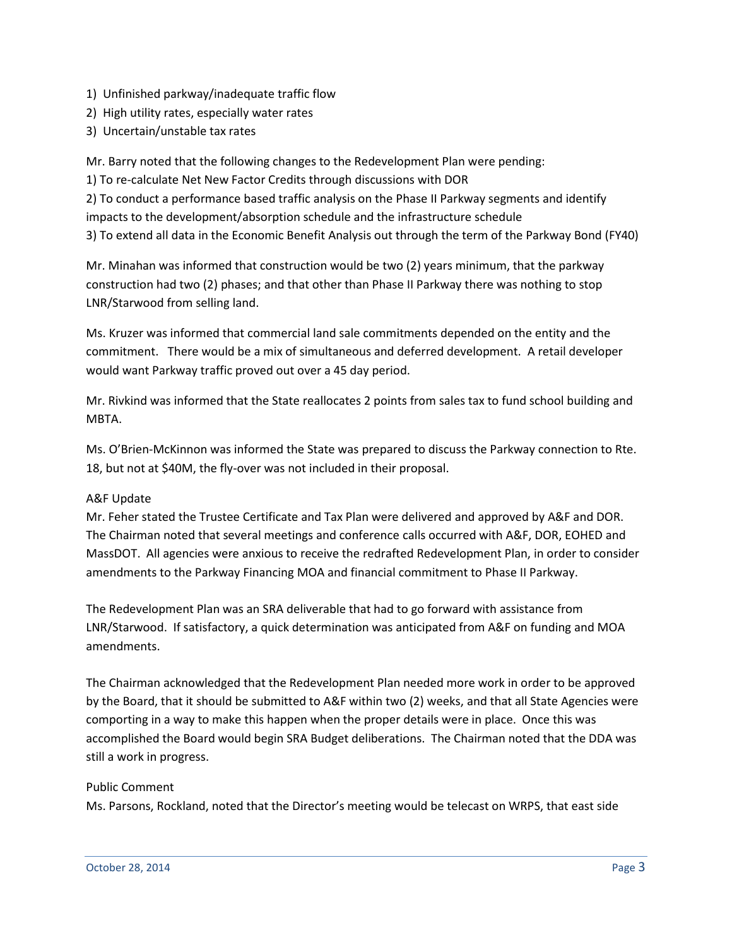- 1) Unfinished parkway/inadequate traffic flow
- 2) High utility rates, especially water rates
- 3) Uncertain/unstable tax rates

Mr. Barry noted that the following changes to the Redevelopment Plan were pending:

1) To re-calculate Net New Factor Credits through discussions with DOR

2) To conduct a performance based traffic analysis on the Phase II Parkway segments and identify impacts to the development/absorption schedule and the infrastructure schedule 3) To extend all data in the Economic Benefit Analysis out through the term of the Parkway Bond (FY40)

Mr. Minahan was informed that construction would be two (2) years minimum, that the parkway construction had two (2) phases; and that other than Phase II Parkway there was nothing to stop LNR/Starwood from selling land.

Ms. Kruzer was informed that commercial land sale commitments depended on the entity and the commitment. There would be a mix of simultaneous and deferred development. A retail developer would want Parkway traffic proved out over a 45 day period.

Mr. Rivkind was informed that the State reallocates 2 points from sales tax to fund school building and MBTA.

Ms. O'Brien-McKinnon was informed the State was prepared to discuss the Parkway connection to Rte. 18, but not at \$40M, the fly-over was not included in their proposal.

## A&F Update

Mr. Feher stated the Trustee Certificate and Tax Plan were delivered and approved by A&F and DOR. The Chairman noted that several meetings and conference calls occurred with A&F, DOR, EOHED and MassDOT. All agencies were anxious to receive the redrafted Redevelopment Plan, in order to consider amendments to the Parkway Financing MOA and financial commitment to Phase II Parkway.

The Redevelopment Plan was an SRA deliverable that had to go forward with assistance from LNR/Starwood. If satisfactory, a quick determination was anticipated from A&F on funding and MOA amendments.

The Chairman acknowledged that the Redevelopment Plan needed more work in order to be approved by the Board, that it should be submitted to A&F within two (2) weeks, and that all State Agencies were comporting in a way to make this happen when the proper details were in place. Once this was accomplished the Board would begin SRA Budget deliberations. The Chairman noted that the DDA was still a work in progress.

## Public Comment

Ms. Parsons, Rockland, noted that the Director's meeting would be telecast on WRPS, that east side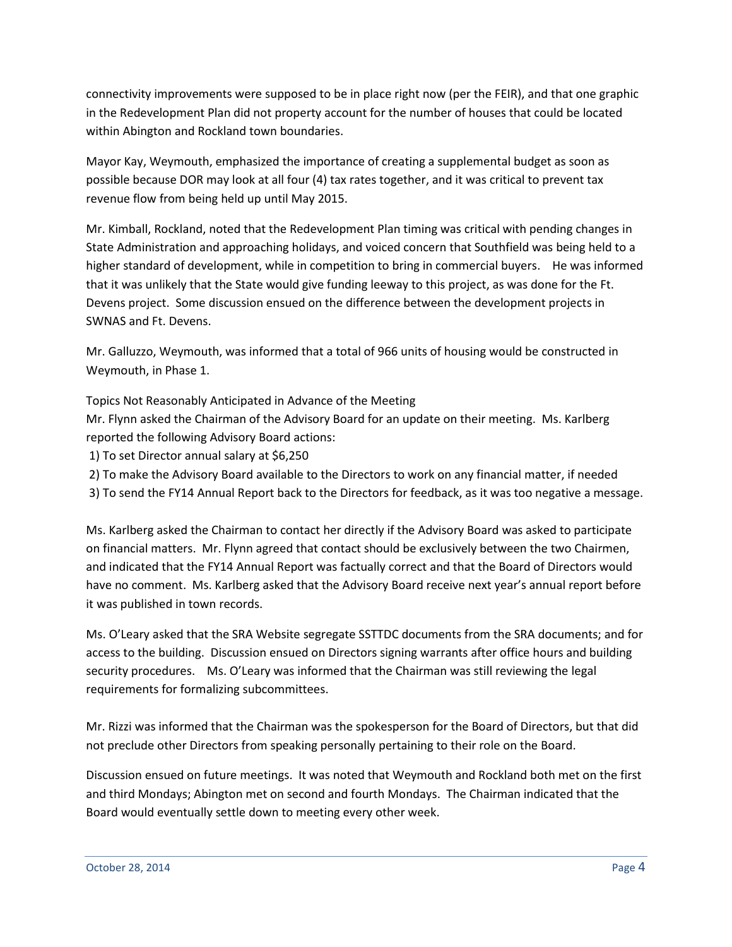connectivity improvements were supposed to be in place right now (per the FEIR), and that one graphic in the Redevelopment Plan did not property account for the number of houses that could be located within Abington and Rockland town boundaries.

Mayor Kay, Weymouth, emphasized the importance of creating a supplemental budget as soon as possible because DOR may look at all four (4) tax rates together, and it was critical to prevent tax revenue flow from being held up until May 2015.

Mr. Kimball, Rockland, noted that the Redevelopment Plan timing was critical with pending changes in State Administration and approaching holidays, and voiced concern that Southfield was being held to a higher standard of development, while in competition to bring in commercial buyers. He was informed that it was unlikely that the State would give funding leeway to this project, as was done for the Ft. Devens project. Some discussion ensued on the difference between the development projects in SWNAS and Ft. Devens.

Mr. Galluzzo, Weymouth, was informed that a total of 966 units of housing would be constructed in Weymouth, in Phase 1.

Topics Not Reasonably Anticipated in Advance of the Meeting Mr. Flynn asked the Chairman of the Advisory Board for an update on their meeting. Ms. Karlberg reported the following Advisory Board actions:

- 1) To set Director annual salary at \$6,250
- 2) To make the Advisory Board available to the Directors to work on any financial matter, if needed
- 3) To send the FY14 Annual Report back to the Directors for feedback, as it was too negative a message.

Ms. Karlberg asked the Chairman to contact her directly if the Advisory Board was asked to participate on financial matters. Mr. Flynn agreed that contact should be exclusively between the two Chairmen, and indicated that the FY14 Annual Report was factually correct and that the Board of Directors would have no comment. Ms. Karlberg asked that the Advisory Board receive next year's annual report before it was published in town records.

Ms. O'Leary asked that the SRA Website segregate SSTTDC documents from the SRA documents; and for access to the building. Discussion ensued on Directors signing warrants after office hours and building security procedures. Ms. O'Leary was informed that the Chairman was still reviewing the legal requirements for formalizing subcommittees.

Mr. Rizzi was informed that the Chairman was the spokesperson for the Board of Directors, but that did not preclude other Directors from speaking personally pertaining to their role on the Board.

Discussion ensued on future meetings. It was noted that Weymouth and Rockland both met on the first and third Mondays; Abington met on second and fourth Mondays. The Chairman indicated that the Board would eventually settle down to meeting every other week.